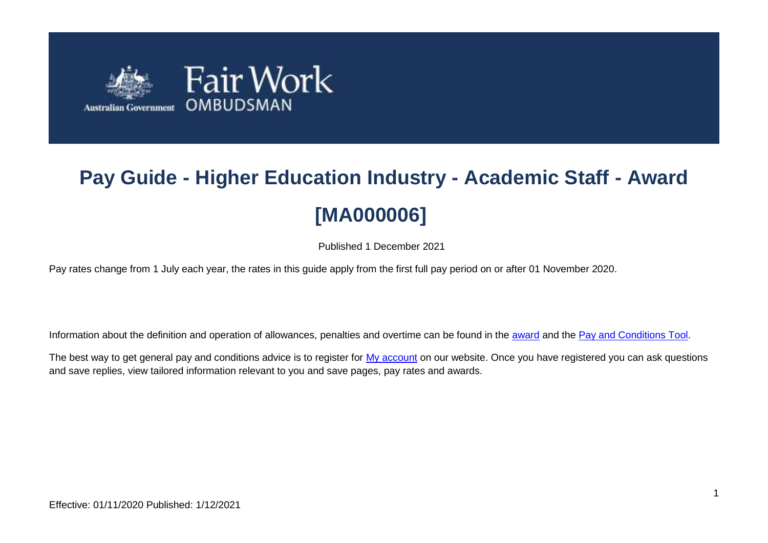

# **Pay Guide - Higher Education Industry - Academic Staff - Award [MA000006]**

Published 1 December 2021

Pay rates change from 1 July each year, the rates in this guide apply from the first full pay period on or after 01 November 2020.

Information about the definition and operation of allowances, penalties and overtime can be found in the [award](https://www.fairwork.gov.au/awards-and-agreements/awards/list-of-awards) and the [Pay and Conditions Tool.](https://calculate.fairwork.gov.au/)

The best way to get general pay and conditions advice is to register for [My account](https://www.fairwork.gov.au/my-account/registerpage.aspx) on our website. Once you have registered you can ask questions and save replies, view tailored information relevant to you and save pages, pay rates and awards.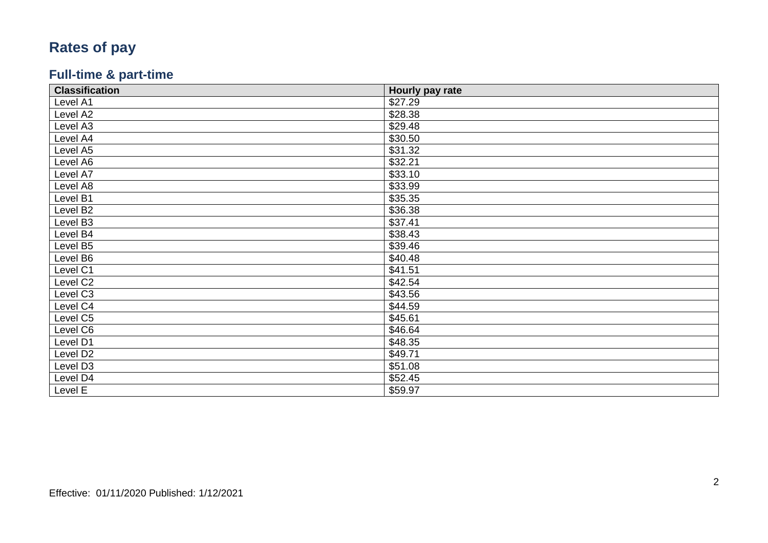# **Rates of pay**

### **Full -time & part -time**

| <b>Classification</b> | Hourly pay rate |
|-----------------------|-----------------|
| Level A1              | \$27.29         |
| Level A2              | \$28.38         |
| Level A3              | \$29.48         |
| Level A4              | \$30.50         |
| Level A5              | \$31.32         |
| Level A6              | \$32.21         |
| Level A7              | \$33.10         |
| Level A8              | \$33.99         |
| Level B1              | \$35.35         |
| Level B2              | \$36.38         |
| Level B3              | \$37.41         |
| Level B4              | \$38.43         |
| Level B5              | \$39.46         |
| Level B6              | \$40.48         |
| Level C1              | \$41.51         |
| Level C2              | \$42.54         |
| Level C3              | \$43.56         |
| Level C4              | \$44.59         |
| Level C5              | \$45.61         |
| Level C6              | \$46.64         |
| Level D1              | \$48.35         |
| Level D <sub>2</sub>  | \$49.71         |
| Level D3              | \$51.08         |
| Level D4              | \$52.45         |
| Level E               | \$59.97         |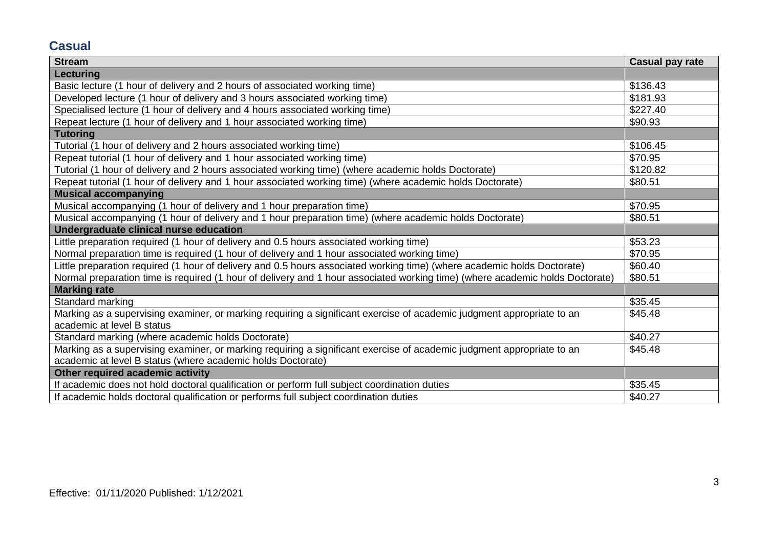## **Casual**

| <b>Stream</b>                                                                                                                | <b>Casual pay rate</b> |
|------------------------------------------------------------------------------------------------------------------------------|------------------------|
| Lecturing                                                                                                                    |                        |
| Basic lecture (1 hour of delivery and 2 hours of associated working time)                                                    | \$136.43               |
| Developed lecture (1 hour of delivery and 3 hours associated working time)                                                   | \$181.93               |
| Specialised lecture (1 hour of delivery and 4 hours associated working time)                                                 | \$227.40               |
| Repeat lecture (1 hour of delivery and 1 hour associated working time)                                                       | \$90.93                |
| <b>Tutoring</b>                                                                                                              |                        |
| Tutorial (1 hour of delivery and 2 hours associated working time)                                                            | \$106.45               |
| Repeat tutorial (1 hour of delivery and 1 hour associated working time)                                                      | \$70.95                |
| Tutorial (1 hour of delivery and 2 hours associated working time) (where academic holds Doctorate)                           | \$120.82               |
| Repeat tutorial (1 hour of delivery and 1 hour associated working time) (where academic holds Doctorate)                     | \$80.51                |
| <b>Musical accompanying</b>                                                                                                  |                        |
| Musical accompanying (1 hour of delivery and 1 hour preparation time)                                                        | \$70.95                |
| Musical accompanying (1 hour of delivery and 1 hour preparation time) (where academic holds Doctorate)                       | \$80.51                |
| Undergraduate clinical nurse education                                                                                       |                        |
| Little preparation required (1 hour of delivery and 0.5 hours associated working time)                                       | \$53.23                |
| Normal preparation time is required (1 hour of delivery and 1 hour associated working time)                                  | \$70.95                |
| Little preparation required (1 hour of delivery and 0.5 hours associated working time) (where academic holds Doctorate)      | \$60.40                |
| Normal preparation time is required (1 hour of delivery and 1 hour associated working time) (where academic holds Doctorate) | \$80.51                |
| <b>Marking rate</b>                                                                                                          |                        |
| Standard marking                                                                                                             | \$35.45                |
| Marking as a supervising examiner, or marking requiring a significant exercise of academic judgment appropriate to an        | \$45.48                |
| academic at level B status                                                                                                   |                        |
| Standard marking (where academic holds Doctorate)                                                                            | \$40.27                |
| Marking as a supervising examiner, or marking requiring a significant exercise of academic judgment appropriate to an        | \$45.48                |
| academic at level B status (where academic holds Doctorate)                                                                  |                        |
| Other required academic activity                                                                                             |                        |
| If academic does not hold doctoral qualification or perform full subject coordination duties                                 | \$35.45                |
| If academic holds doctoral qualification or performs full subject coordination duties                                        | \$40.27                |